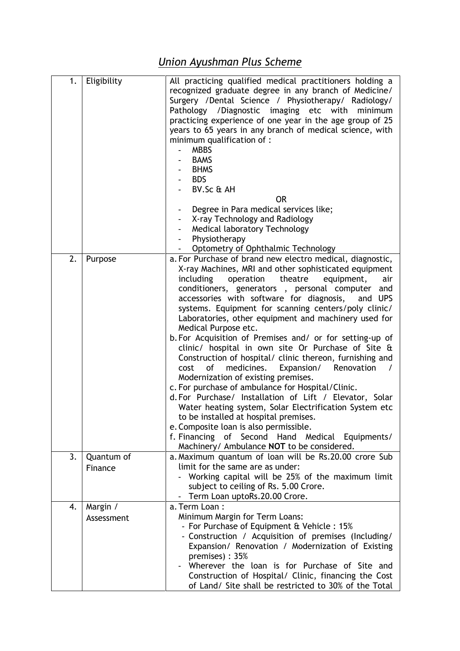## *Union Ayushman Plus Scheme*

| 1. | Eligibility            | All practicing qualified medical practitioners holding a<br>recognized graduate degree in any branch of Medicine/<br>Surgery / Dental Science / Physiotherapy/ Radiology/<br>Pathology / Diagnostic imaging etc with<br>minimum<br>practicing experience of one year in the age group of 25<br>years to 65 years in any branch of medical science, with<br>minimum qualification of :<br><b>MBBS</b><br>$\overline{\phantom{0}}$<br><b>BAMS</b><br><b>BHMS</b><br><b>BDS</b><br>BV.Sc & AH<br><b>OR</b><br>Degree in Para medical services like;<br>$\overline{\phantom{a}}$<br>X-ray Technology and Radiology<br>Medical laboratory Technology<br>Physiotherapy<br>Optometry of Ophthalmic Technology                                                                                                                                                                                                                                                                                                                                                                                   |
|----|------------------------|------------------------------------------------------------------------------------------------------------------------------------------------------------------------------------------------------------------------------------------------------------------------------------------------------------------------------------------------------------------------------------------------------------------------------------------------------------------------------------------------------------------------------------------------------------------------------------------------------------------------------------------------------------------------------------------------------------------------------------------------------------------------------------------------------------------------------------------------------------------------------------------------------------------------------------------------------------------------------------------------------------------------------------------------------------------------------------------|
| 2. | Purpose                | a. For Purchase of brand new electro medical, diagnostic,<br>X-ray Machines, MRI and other sophisticated equipment<br>including<br>operation<br>theatre<br>equipment,<br>air<br>conditioners, generators, personal computer<br>and<br>accessories with software for diagnosis,<br>and UPS<br>systems. Equipment for scanning centers/poly clinic/<br>Laboratories, other equipment and machinery used for<br>Medical Purpose etc.<br>b. For Acquisition of Premises and/ or for setting-up of<br>clinic/ hospital in own site Or Purchase of Site &<br>Construction of hospital/ clinic thereon, furnishing and<br>of<br>medicines.<br>Expansion/<br>Renovation<br>cost<br>$\prime$<br>Modernization of existing premises.<br>c. For purchase of ambulance for Hospital/Clinic.<br>d. For Purchase/ Installation of Lift / Elevator, Solar<br>Water heating system, Solar Electrification System etc<br>to be installed at hospital premises.<br>e. Composite loan is also permissible.<br>f. Financing of Second Hand Medical Equipments/<br>Machinery/ Ambulance NOT to be considered. |
| 3. | Quantum of<br>Finance  | a. Maximum quantum of loan will be Rs. 20.00 crore Sub<br>limit for the same are as under:<br>Working capital will be 25% of the maximum limit<br>subject to ceiling of Rs. 5.00 Crore.<br>Term Loan uptoRs.20.00 Crore.<br>$\sim$                                                                                                                                                                                                                                                                                                                                                                                                                                                                                                                                                                                                                                                                                                                                                                                                                                                       |
| 4. | Margin /<br>Assessment | a. Term Loan:<br>Minimum Margin for Term Loans:<br>- For Purchase of Equipment & Vehicle : 15%<br>- Construction / Acquisition of premises (Including/<br>Expansion/ Renovation / Modernization of Existing<br>premises): 35%<br>Wherever the loan is for Purchase of Site and<br>Construction of Hospital/ Clinic, financing the Cost<br>of Land/ Site shall be restricted to 30% of the Total                                                                                                                                                                                                                                                                                                                                                                                                                                                                                                                                                                                                                                                                                          |